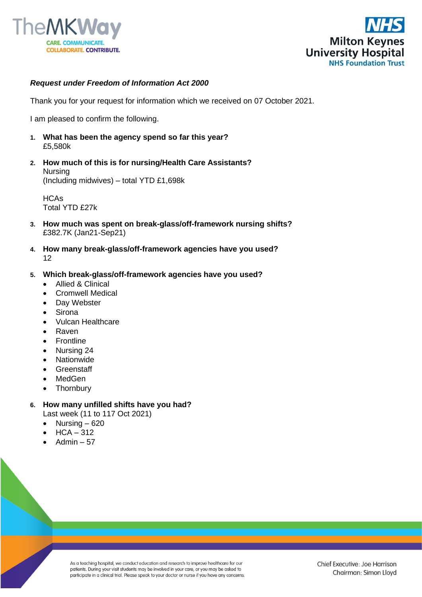



## *Request under Freedom of Information Act 2000*

Thank you for your request for information which we received on 07 October 2021.

I am pleased to confirm the following.

- **1. What has been the agency spend so far this year?** £5,580k
- **2. How much of this is for nursing/Health Care Assistants?** Nursing (Including midwives) – total YTD £1,698k

**HCAs** Total YTD £27k

- **3. How much was spent on break-glass/off-framework nursing shifts?**  £382.7K (Jan21-Sep21)
- **4. How many break-glass/off-framework agencies have you used?** 12
- **5. Which break-glass/off-framework agencies have you used?**
	- Allied & Clinical
	- Cromwell Medical
	- Day Webster
	- Sirona
	- Vulcan Healthcare
	- Raven
	- **Frontline**
	- Nursing 24
	- **Nationwide**
	- **Greenstaff**
	- MedGen
	- **Thornbury**

## **6. How many unfilled shifts have you had?**

Last week (11 to 117 Oct 2021)

- Nursing  $-620$
- $HCA 312$
- Admin  $-57$

As a teaching hospital, we conduct education and research to improve healthcare for our patients. During your visit students may be involved in your care, or you may be asked to participate in a clinical trial. Please speak to your doctor or nurse if you have any concerns.